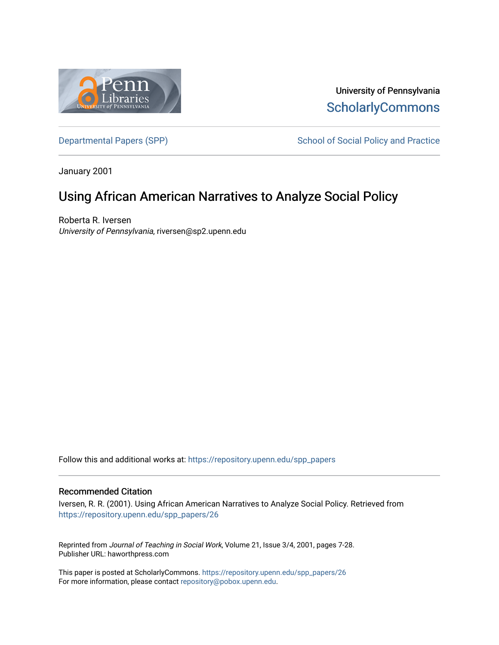

University of Pennsylvania **ScholarlyCommons** 

[Departmental Papers \(SPP\)](https://repository.upenn.edu/spp_papers) School of Social Policy and Practice

January 2001

## Using African American Narratives to Analyze Social Policy

Roberta R. Iversen University of Pennsylvania, riversen@sp2.upenn.edu

Follow this and additional works at: [https://repository.upenn.edu/spp\\_papers](https://repository.upenn.edu/spp_papers?utm_source=repository.upenn.edu%2Fspp_papers%2F26&utm_medium=PDF&utm_campaign=PDFCoverPages) 

### Recommended Citation

Iversen, R. R. (2001). Using African American Narratives to Analyze Social Policy. Retrieved from [https://repository.upenn.edu/spp\\_papers/26](https://repository.upenn.edu/spp_papers/26?utm_source=repository.upenn.edu%2Fspp_papers%2F26&utm_medium=PDF&utm_campaign=PDFCoverPages)

Reprinted from Journal of Teaching in Social Work, Volume 21, Issue 3/4, 2001, pages 7-28. Publisher URL: haworthpress.com

This paper is posted at ScholarlyCommons. [https://repository.upenn.edu/spp\\_papers/26](https://repository.upenn.edu/spp_papers/26)  For more information, please contact [repository@pobox.upenn.edu.](mailto:repository@pobox.upenn.edu)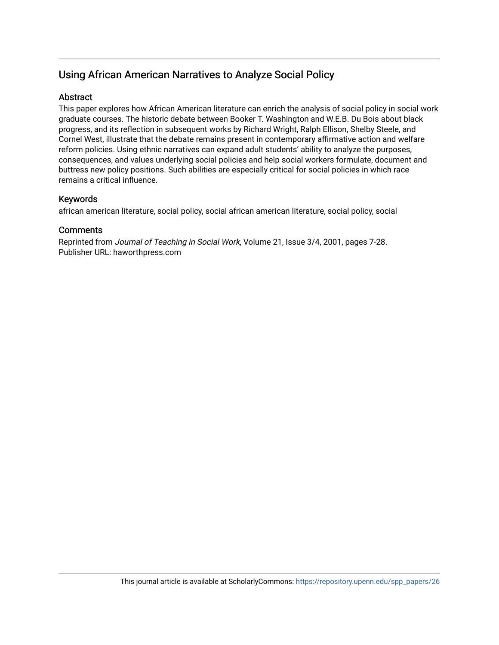## Using African American Narratives to Analyze Social Policy

## Abstract

This paper explores how African American literature can enrich the analysis of social policy in social work graduate courses. The historic debate between Booker T. Washington and W.E.B. Du Bois about black progress, and its reflection in subsequent works by Richard Wright, Ralph Ellison, Shelby Steele, and Cornel West, illustrate that the debate remains present in contemporary affirmative action and welfare reform policies. Using ethnic narratives can expand adult students' ability to analyze the purposes, consequences, and values underlying social policies and help social workers formulate, document and buttress new policy positions. Such abilities are especially critical for social policies in which race remains a critical influence.

## Keywords

african american literature, social policy, social african american literature, social policy, social

### **Comments**

Reprinted from Journal of Teaching in Social Work, Volume 21, Issue 3/4, 2001, pages 7-28. Publisher URL: haworthpress.com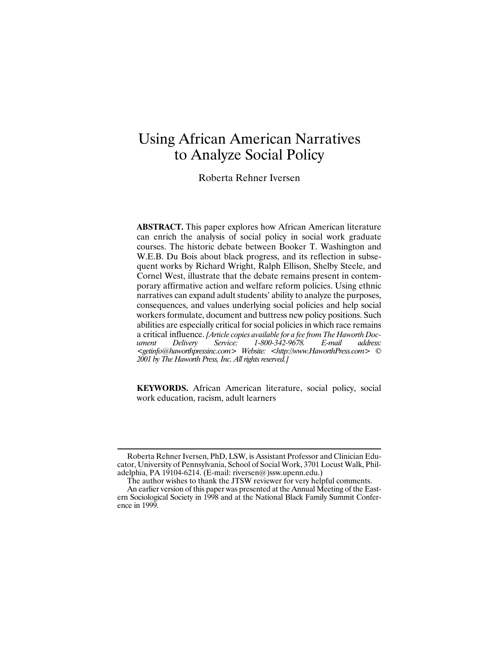# Using African American Narratives to Analyze Social Policy

Roberta Rehner Iversen

**ABSTRACT.** This paper explores how African American literature can enrich the analysis of social policy in social work graduate courses. The historic debate between Booker T. Washington and W.E.B. Du Bois about black progress, and its reflection in subsequent works by Richard Wright, Ralph Ellison, Shelby Steele, and Cornel West, illustrate that the debate remains present in contemporary affirmative action and welfare reform policies. Using ethnic narratives can expand adult students' ability to analyze the purposes, consequences, and values underlying social policies and help social workers formulate, document and buttress new policy positions. Such abilities are especially critical for social policies in which race remains a critical influence. *[Article copies available for a fee from The Haworth Document Delivery Service: 1-800-342-9678. E-mail address: <getinfo@haworthpressinc.com> Website: <http://www.HaworthPress.com> © 2001 by The Haworth Press, Inc. All rights reserved.]*

**KEYWORDS.** African American literature, social policy, social work education, racism, adult learners

Roberta Rehner Iversen, PhD, LSW, is Assistant Professor and Clinician Educator, University of Pennsylvania, School of Social Work, 3701 Locust Walk, Philadelphia, PA 19104-6214. (E-mail: riversen@)ssw.upenn.edu.)

The author wishes to thank the JTSW reviewer for very helpful comments.

An earlier version of this paper was presented at the Annual Meeting of the Eastern Sociological Society in 1998 and at the National Black Family Summit Conference in 1999.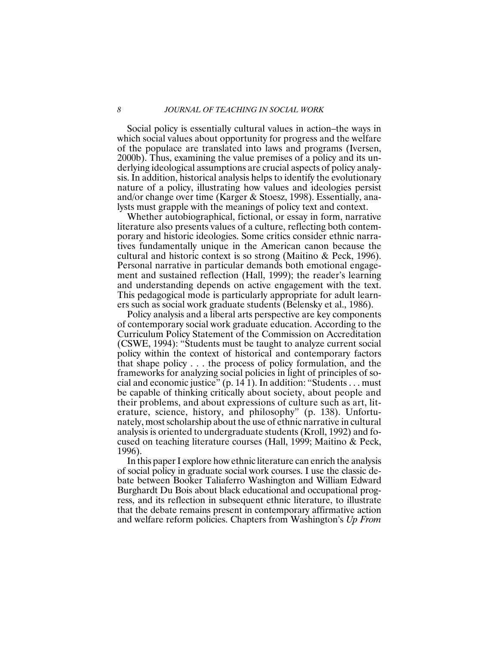#### *8 JOURNAL OF TEACHING IN SOCIAL WORK*

Social policy is essentially cultural values in action–the ways in which social values about opportunity for progress and the welfare of the populace are translated into laws and programs (Iversen, 2000b). Thus, examining the value premises of a policy and its underlying ideological assumptions are crucial aspects of policy analysis. In addition, historical analysis helps to identify the evolutionary nature of a policy, illustrating how values and ideologies persist and/or change over time (Karger & Stoesz, 1998). Essentially, analysts must grapple with the meanings of policy text and context.

Whether autobiographical, fictional, or essay in form, narrative literature also presents values of a culture, reflecting both contemporary and historic ideologies. Some critics consider ethnic narratives fundamentally unique in the American canon because the cultural and historic context is so strong (Maitino & Peck, 1996). Personal narrative in particular demands both emotional engagement and sustained reflection (Hall, 1999); the reader's learning and understanding depends on active engagement with the text. This pedagogical mode is particularly appropriate for adult learners such as social work graduate students (Belensky et al., 1986).

Policy analysis and a liberal arts perspective are key components of contemporary social work graduate education. According to the Curriculum Policy Statement of the Commission on Accreditation (CSWE, 1994): "Students must be taught to analyze current social policy within the context of historical and contemporary factors that shape policy . . . the process of policy formulation, and the frameworks for analyzing social policies in light of principles of social and economic justice" (p. 14 1). In addition: "Students . . . must be capable of thinking critically about society, about people and their problems, and about expressions of culture such as art, literature, science, history, and philosophy" (p. 138). Unfortunately, most scholarship about the use of ethnic narrative in cultural analysis is oriented to undergraduate students (Kroll, 1992) and focused on teaching literature courses (Hall, 1999; Maitino & Peck, 1996).

In this paper I explore how ethnic literature can enrich the analysis of social policy in graduate social work courses. I use the classic debate between Booker Taliaferro Washington and William Edward Burghardt Du Bois about black educational and occupational progress, and its reflection in subsequent ethnic literature, to illustrate that the debate remains present in contemporary affirmative action and welfare reform policies. Chapters from Washington's *Up From*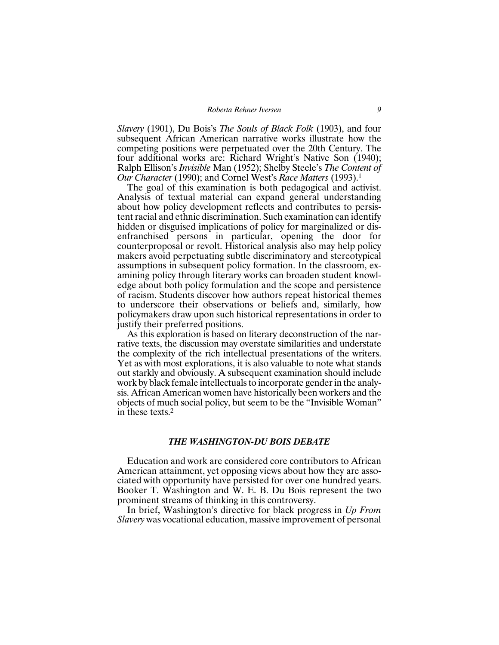*Slavery* (1901), Du Bois's *The Souls of Black Folk* (1903), and four subsequent African American narrative works illustrate how the competing positions were perpetuated over the 20th Century. The four additional works are: Richard Wright's Native Son (1940); Ralph Ellison's *Invisible* Man (1952); Shelby Steele's *The Content of Our Character* (1990); and Cornel West's *Race Matters* (1993).1

The goal of this examination is both pedagogical and activist. Analysis of textual material can expand general understanding about how policy development reflects and contributes to persistent racial and ethnic discrimination. Such examination can identify hidden or disguised implications of policy for marginalized or disenfranchised persons in particular, opening the door for counterproposal or revolt. Historical analysis also may help policy makers avoid perpetuating subtle discriminatory and stereotypical assumptions in subsequent policy formation. In the classroom, examining policy through literary works can broaden student knowledge about both policy formulation and the scope and persistence of racism. Students discover how authors repeat historical themes to underscore their observations or beliefs and, similarly, how policymakers draw upon such historical representations in order to justify their preferred positions.

As this exploration is based on literary deconstruction of the narrative texts, the discussion may overstate similarities and understate the complexity of the rich intellectual presentations of the writers. Yet as with most explorations, it is also valuable to note what stands out starkly and obviously. A subsequent examination should include work by black female intellectuals to incorporate gender in the analysis. African American women have historically been workers and the objects of much social policy, but seem to be the "Invisible Woman" in these texts.2

#### *THE WASHINGTON-DU BOIS DEBATE*

Education and work are considered core contributors to African American attainment, yet opposing views about how they are associated with opportunity have persisted for over one hundred years. Booker T. Washington and W. E. B. Du Bois represent the two prominent streams of thinking in this controversy.

In brief, Washington's directive for black progress in *Up From Slavery* was vocational education, massive improvement of personal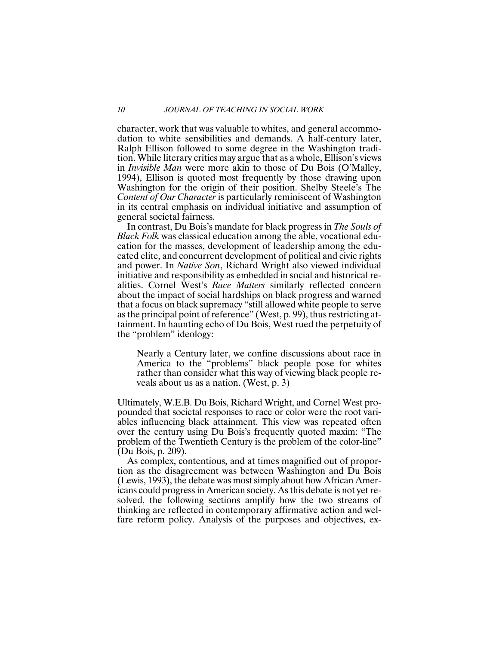character, work that was valuable to whites, and general accommodation to white sensibilities and demands. A half-century later, Ralph Ellison followed to some degree in the Washington tradition. While literary critics may argue that as a whole, Ellison's views in *Invisible Man* were more akin to those of Du Bois (O'Malley, 1994), Ellison is quoted most frequently by those drawing upon Washington for the origin of their position. Shelby Steele's The *Content of Our Character* is particularly reminiscent of Washington in its central emphasis on individual initiative and assumption of general societal fairness.

In contrast, Du Bois's mandate for black progress in *The Souls of Black Folk* was classical education among the able, vocational education for the masses, development of leadership among the educated elite, and concurrent development of political and civic rights and power. In *Native Son*, Richard Wright also viewed individual initiative and responsibility as embedded in social and historical realities. Cornel West's *Race Matters* similarly reflected concern about the impact of social hardships on black progress and warned that a focus on black supremacy "still allowed white people to serve as the principal point of reference" (West, p. 99), thus restricting attainment. In haunting echo of Du Bois, West rued the perpetuity of the "problem" ideology:

Nearly a Century later, we confine discussions about race in America to the "problems" black people pose for whites rather than consider what this way of viewing black people reveals about us as a nation. (West, p. 3)

Ultimately, W.E.B. Du Bois, Richard Wright, and Cornel West propounded that societal responses to race or color were the root variables influencing black attainment. This view was repeated often over the century using Du Bois's frequently quoted maxim: "The problem of the Twentieth Century is the problem of the color-line" (Du Bois, p. 209).

As complex, contentious, and at times magnified out of proportion as the disagreement was between Washington and Du Bois (Lewis, 1993), the debate was most simply about how African Americans could progress in American society. As this debate is not yet resolved, the following sections amplify how the two streams of thinking are reflected in contemporary affirmative action and welfare reform policy. Analysis of the purposes and objectives, ex-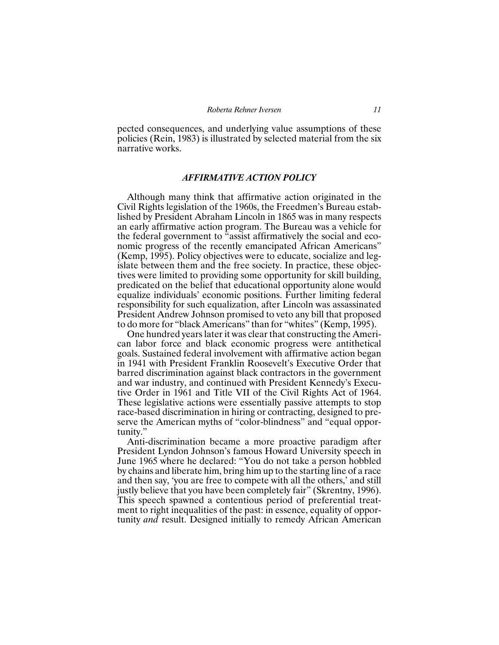pected consequences, and underlying value assumptions of these policies (Rein, 1983) is illustrated by selected material from the six narrative works.

#### *AFFIRMATIVE ACTION POLICY*

Although many think that affirmative action originated in the Civil Rights legislation of the 1960s, the Freedmen's Bureau established by President Abraham Lincoln in 1865 was in many respects an early affirmative action program. The Bureau was a vehicle for the federal government to "assist affirmatively the social and economic progress of the recently emancipated African Americans" (Kemp, 1995). Policy objectives were to educate, socialize and legislate between them and the free society. In practice, these objectives were limited to providing some opportunity for skill building, predicated on the belief that educational opportunity alone would equalize individuals' economic positions. Further limiting federal responsibility for such equalization, after Lincoln was assassinated President Andrew Johnson promised to veto any bill that proposed to do more for "black Americans" than for "whites" (Kemp, 1995).

One hundred years later it was clear that constructing the American labor force and black economic progress were antithetical goals. Sustained federal involvement with affirmative action began in 1941 with President Franklin Roosevelt's Executive Order that barred discrimination against black contractors in the government and war industry, and continued with President Kennedy's Executive Order in 1961 and Title VII of the Civil Rights Act of 1964. These legislative actions were essentially passive attempts to stop race-based discrimination in hiring or contracting, designed to preserve the American myths of "color-blindness" and "equal opportunity."

Anti-discrimination became a more proactive paradigm after President Lyndon Johnson's famous Howard University speech in June 1965 where he declared: "You do not take a person hobbled by chains and liberate him, bring him up to the starting line of a race and then say, 'you are free to compete with all the others,' and still justly believe that you have been completely fair" (Skrentny, 1996). This speech spawned a contentious period of preferential treatment to right inequalities of the past: in essence, equality of opportunity *and* result. Designed initially to remedy African American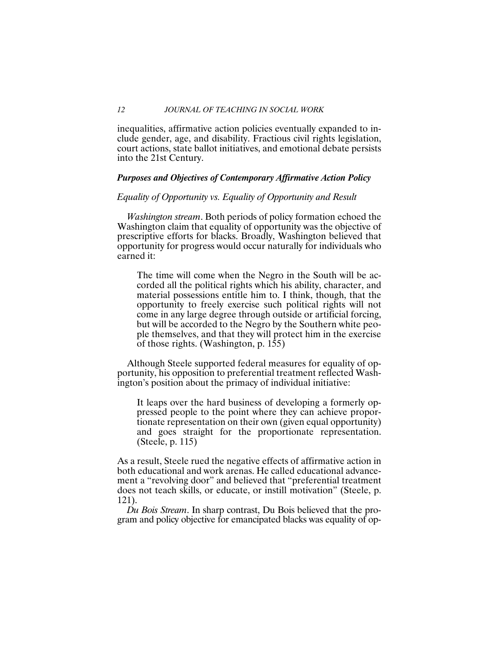#### *12 JOURNAL OF TEACHING IN SOCIAL WORK*

inequalities, affirmative action policies eventually expanded to include gender, age, and disability. Fractious civil rights legislation, court actions, state ballot initiatives, and emotional debate persists into the 21st Century.

#### *Purposes and Objectives of Contemporary Affirmative Action Policy*

#### *Equality of Opportunity vs. Equality of Opportunity and Result*

*Washington stream*. Both periods of policy formation echoed the Washington claim that equality of opportunity was the objective of prescriptive efforts for blacks. Broadly, Washington believed that opportunity for progress would occur naturally for individuals who earned it:

The time will come when the Negro in the South will be accorded all the political rights which his ability, character, and material possessions entitle him to. I think, though, that the opportunity to freely exercise such political rights will not come in any large degree through outside or artificial forcing, but will be accorded to the Negro by the Southern white people themselves, and that they will protect him in the exercise of those rights. (Washington, p. 155)

Although Steele supported federal measures for equality of opportunity, his opposition to preferential treatment reflected Washington's position about the primacy of individual initiative:

It leaps over the hard business of developing a formerly oppressed people to the point where they can achieve proportionate representation on their own (given equal opportunity) and goes straight for the proportionate representation. (Steele, p. 115)

As a result, Steele rued the negative effects of affirmative action in both educational and work arenas. He called educational advancement a "revolving door" and believed that "preferential treatment does not teach skills, or educate, or instill motivation" (Steele, p. 121).

*Du Bois Stream*. In sharp contrast, Du Bois believed that the program and policy objective for emancipated blacks was equality of op-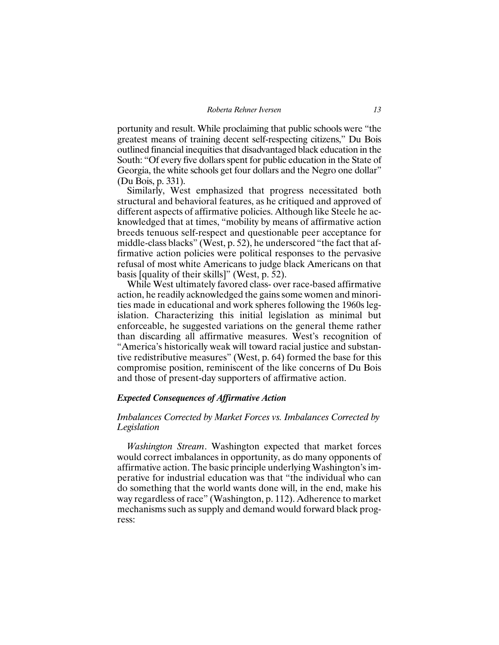portunity and result. While proclaiming that public schools were "the greatest means of training decent self-respecting citizens," Du Bois outlined financial inequities that disadvantaged black education in the South: "Of every five dollars spent for public education in the State of Georgia, the white schools get four dollars and the Negro one dollar" (Du Bois, p. 331).

Similarly, West emphasized that progress necessitated both structural and behavioral features, as he critiqued and approved of different aspects of affirmative policies. Although like Steele he acknowledged that at times, "mobility by means of affirmative action breeds tenuous self-respect and questionable peer acceptance for middle-class blacks" (West, p. 52), he underscored "the fact that affirmative action policies were political responses to the pervasive refusal of most white Americans to judge black Americans on that basis [quality of their skills]" (West, p. 52).

While West ultimately favored class- over race-based affirmative action, he readily acknowledged the gains some women and minorities made in educational and work spheres following the 1960s legislation. Characterizing this initial legislation as minimal but enforceable, he suggested variations on the general theme rather than discarding all affirmative measures. West's recognition of "America's historically weak will toward racial justice and substantive redistributive measures" (West, p. 64) formed the base for this compromise position, reminiscent of the like concerns of Du Bois and those of present-day supporters of affirmative action.

#### *Expected Consequences of Affirmative Action*

#### *Imbalances Corrected by Market Forces vs. Imbalances Corrected by Legislation*

*Washington Stream*. Washington expected that market forces would correct imbalances in opportunity, as do many opponents of affirmative action. The basic principle underlying Washington's imperative for industrial education was that "the individual who can do something that the world wants done will, in the end, make his way regardless of race" (Washington, p. 112). Adherence to market mechanisms such as supply and demand would forward black progress: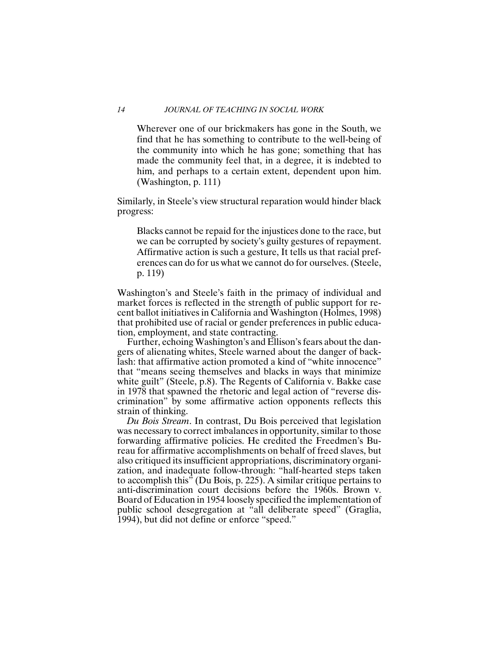#### *14 JOURNAL OF TEACHING IN SOCIAL WORK*

Wherever one of our brickmakers has gone in the South, we find that he has something to contribute to the well-being of the community into which he has gone; something that has made the community feel that, in a degree, it is indebted to him, and perhaps to a certain extent, dependent upon him. (Washington, p. 111)

Similarly, in Steele's view structural reparation would hinder black progress:

Blacks cannot be repaid for the injustices done to the race, but we can be corrupted by society's guilty gestures of repayment. Affirmative action is such a gesture, It tells us that racial preferences can do for us what we cannot do for ourselves. (Steele, p. 119)

Washington's and Steele's faith in the primacy of individual and market forces is reflected in the strength of public support for recent ballot initiatives in California and Washington (Holmes, 1998) that prohibited use of racial or gender preferences in public education, employment, and state contracting.

Further, echoing Washington's and Ellison's fears about the dangers of alienating whites, Steele warned about the danger of backlash: that affirmative action promoted a kind of "white innocence" that "means seeing themselves and blacks in ways that minimize white guilt" (Steele, p.8). The Regents of California v. Bakke case in 1978 that spawned the rhetoric and legal action of "reverse discrimination" by some affirmative action opponents reflects this strain of thinking.

*Du Bois Stream*. In contrast, Du Bois perceived that legislation was necessary to correct imbalances in opportunity, similar to those forwarding affirmative policies. He credited the Freedmen's Bureau for affirmative accomplishments on behalf of freed slaves, but also critiqued its insufficient appropriations, discriminatory organization, and inadequate follow-through: "half-hearted steps taken to accomplish this" (Du Bois, p. 225). A similar critique pertains to anti-discrimination court decisions before the 1960s. Brown v. Board of Education in 1954 loosely specified the implementation of public school desegregation at "all deliberate speed" (Graglia, 1994), but did not define or enforce "speed."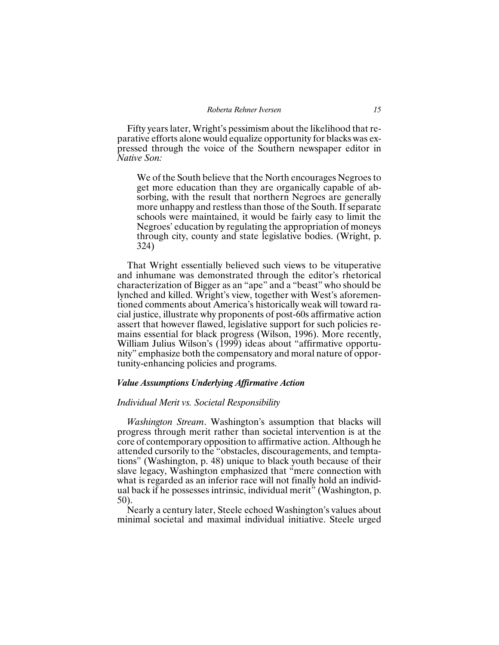Fifty years later, Wright's pessimism about the likelihood that reparative efforts alone would equalize opportunity for blacks was expressed through the voice of the Southern newspaper editor in *Native Son:*

We of the South believe that the North encourages Negroes to get more education than they are organically capable of absorbing, with the result that northern Negroes are generally more unhappy and restless than those of the South. If separate schools were maintained, it would be fairly easy to limit the Negroes' education by regulating the appropriation of moneys through city, county and state legislative bodies. (Wright, p. 324)

That Wright essentially believed such views to be vituperative and inhumane was demonstrated through the editor's rhetorical characterization of Bigger as an "ape" and a "beast" who should be lynched and killed. Wright's view, together with West's aforementioned comments about America's historically weak will toward racial justice, illustrate why proponents of post-60s affirmative action assert that however flawed, legislative support for such policies remains essential for black progress (Wilson, 1996). More recently, William Julius Wilson's (1999) ideas about "affirmative opportunity" emphasize both the compensatory and moral nature of opportunity-enhancing policies and programs.

#### *Value Assumptions Underlying Affirmative Action*

#### *Individual Merit vs. Societal Responsibility*

*Washington Stream*. Washington's assumption that blacks will progress through merit rather than societal intervention is at the core of contemporary opposition to affirmative action. Although he attended cursorily to the "obstacles, discouragements, and temptations" (Washington, p. 48) unique to black youth because of their slave legacy, Washington emphasized that "mere connection with what is regarded as an inferior race will not finally hold an individual back if he possesses intrinsic, individual merit" (Washington, p. 50).

Nearly a century later, Steele echoed Washington's values about minimal societal and maximal individual initiative. Steele urged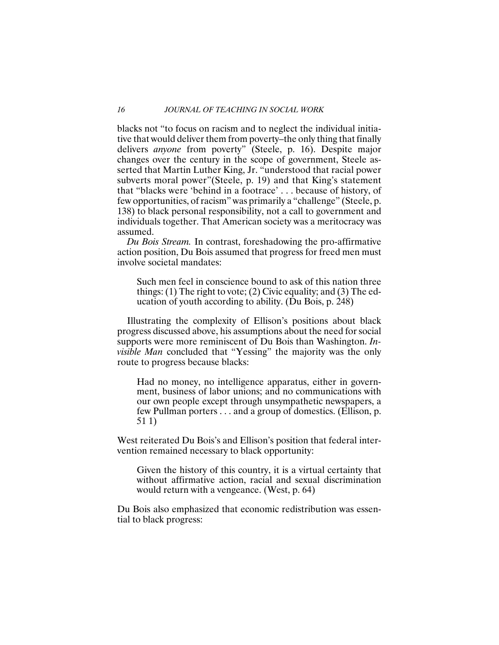blacks not "to focus on racism and to neglect the individual initiative that would deliver them from poverty–the only thing that finally delivers *anyone* from poverty" (Steele, p. 16). Despite major changes over the century in the scope of government, Steele asserted that Martin Luther King, Jr. "understood that racial power subverts moral power"(Steele, p. 19) and that King's statement that "blacks were 'behind in a footrace' . . . because of history, of few opportunities, of racism" was primarily a "challenge" (Steele, p. 138) to black personal responsibility, not a call to government and individuals together. That American society was a meritocracy was assumed.

*Du Bois Stream.* In contrast, foreshadowing the pro-affirmative action position, Du Bois assumed that progress for freed men must involve societal mandates:

Such men feel in conscience bound to ask of this nation three things: (1) The right to vote; (2) Civic equality; and (3) The education of youth according to ability. (Du Bois, p. 248)

Illustrating the complexity of Ellison's positions about black progress discussed above, his assumptions about the need for social supports were more reminiscent of Du Bois than Washington. *Invisible Man* concluded that "Yessing" the majority was the only route to progress because blacks:

Had no money, no intelligence apparatus, either in government, business of labor unions; and no communications with our own people except through unsympathetic newspapers, a few Pullman porters . . . and a group of domestics. (Ellison, p. 51 1)

West reiterated Du Bois's and Ellison's position that federal intervention remained necessary to black opportunity:

Given the history of this country, it is a virtual certainty that without affirmative action, racial and sexual discrimination would return with a vengeance. (West, p. 64)

Du Bois also emphasized that economic redistribution was essential to black progress: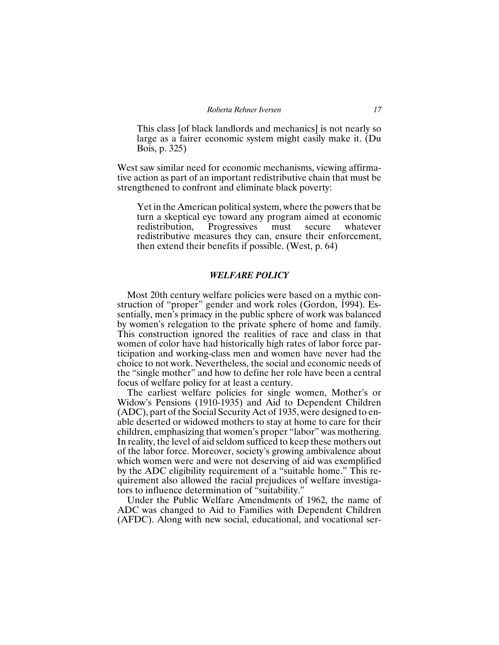This class [of black landlords and mechanics] is not nearly so large as a fairer economic system might easily make it. (Du Bois, p. 325)

West saw similar need for economic mechanisms, viewing affirmative action as part of an important redistributive chain that must be strengthened to confront and eliminate black poverty:

Yet in the American political system, where the powers that be turn a skeptical eye toward any program aimed at economic redistribution, Progressives must secure whatever redistributive measures they can, ensure their enforcement, then extend their benefits if possible. (West, p. 64)

#### *WELFARE POLICY*

Most 20th century welfare policies were based on a mythic construction of "proper" gender and work roles (Gordon, 1994). Essentially, men's primacy in the public sphere of work was balanced by women's relegation to the private sphere of home and family. This construction ignored the realities of race and class in that women of color have had historically high rates of labor force participation and working-class men and women have never had the choice to not work. Nevertheless, the social and economic needs of the "single mother" and how to define her role have been a central focus of welfare policy for at least a century.

The earliest welfare policies for single women, Mother's or Widow's Pensions (1910-1935) and Aid to Dependent Children (ADC), part of the Social Security Act of 1935, were designed to enable deserted or widowed mothers to stay at home to care for their children, emphasizing that women's proper "labor" was mothering. In reality, the level of aid seldom sufficed to keep these mothers out of the labor force. Moreover, society's growing ambivalence about which women were and were not deserving of aid was exemplified by the ADC eligibility requirement of a "suitable home." This requirement also allowed the racial prejudices of welfare investigators to influence determination of "suitability."

Under the Public Welfare Amendments of 1962, the name of ADC was changed to Aid to Families with Dependent Children (AFDC). Along with new social, educational, and vocational ser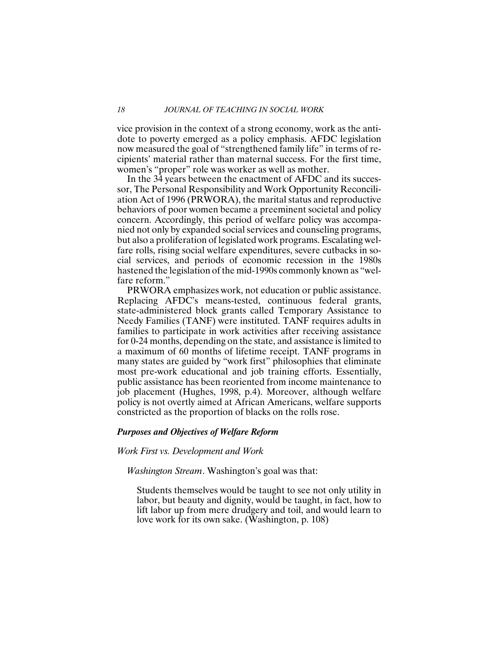vice provision in the context of a strong economy, work as the antidote to poverty emerged as a policy emphasis. AFDC legislation now measured the goal of "strengthened family life" in terms of recipients' material rather than maternal success. For the first time, women's "proper" role was worker as well as mother.

In the 34 years between the enactment of AFDC and its successor, The Personal Responsibility and Work Opportunity Reconciliation Act of 1996 (PRWORA), the marital status and reproductive behaviors of poor women became a preeminent societal and policy concern. Accordingly, this period of welfare policy was accompanied not only by expanded social services and counseling programs, but also a proliferation of legislated work programs. Escalating welfare rolls, rising social welfare expenditures, severe cutbacks in social services, and periods of economic recession in the 1980s hastened the legislation of the mid-1990s commonly known as "welfare reform."

PRWORA emphasizes work, not education or public assistance. Replacing AFDC's means-tested, continuous federal grants, state-administered block grants called Temporary Assistance to Needy Families (TANF) were instituted. TANF requires adults in families to participate in work activities after receiving assistance for 0-24 months, depending on the state, and assistance is limited to a maximum of 60 months of lifetime receipt. TANF programs in many states are guided by "work first" philosophies that eliminate most pre-work educational and job training efforts. Essentially, public assistance has been reoriented from income maintenance to job placement (Hughes, 1998, p.4). Moreover, although welfare policy is not overtly aimed at African Americans, welfare supports constricted as the proportion of blacks on the rolls rose.

#### *Purposes and Objectives of Welfare Reform*

#### *Work First vs. Development and Work*

*Washington Stream*. Washington's goal was that:

Students themselves would be taught to see not only utility in labor, but beauty and dignity, would be taught, in fact, how to lift labor up from mere drudgery and toil, and would learn to love work for its own sake. (Washington, p. 108)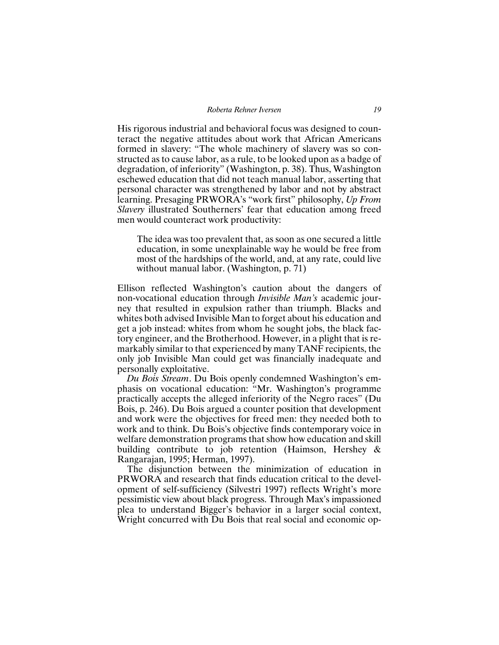#### *Roberta Rehner Iversen 19*

His rigorous industrial and behavioral focus was designed to counteract the negative attitudes about work that African Americans formed in slavery: "The whole machinery of slavery was so constructed as to cause labor, as a rule, to be looked upon as a badge of degradation, of inferiority" (Washington, p. 38). Thus, Washington eschewed education that did not teach manual labor, asserting that personal character was strengthened by labor and not by abstract learning. Presaging PRWORA's "work first" philosophy, *Up From Slavery* illustrated Southerners' fear that education among freed men would counteract work productivity:

The idea was too prevalent that, as soon as one secured a little education, in some unexplainable way he would be free from most of the hardships of the world, and, at any rate, could live without manual labor. (Washington, p. 71)

Ellison reflected Washington's caution about the dangers of non-vocational education through *Invisible Man's* academic journey that resulted in expulsion rather than triumph. Blacks and whites both advised Invisible Man to forget about his education and get a job instead: whites from whom he sought jobs, the black factory engineer, and the Brotherhood. However, in a plight that is remarkably similar to that experienced by many TANF recipients, the only job Invisible Man could get was financially inadequate and personally exploitative.

*Du Bois Stream*. Du Bois openly condemned Washington's emphasis on vocational education: "Mr. Washington's programme practically accepts the alleged inferiority of the Negro races" (Du Bois, p. 246). Du Bois argued a counter position that development and work were the objectives for freed men: they needed both to work and to think. Du Bois's objective finds contemporary voice in welfare demonstration programs that show how education and skill building contribute to job retention (Haimson, Hershey & Rangarajan, 1995; Herman, 1997).

The disjunction between the minimization of education in PRWORA and research that finds education critical to the development of self-sufficiency (Silvestri 1997) reflects Wright's more pessimistic view about black progress. Through Max's impassioned plea to understand Bigger's behavior in a larger social context, Wright concurred with Du Bois that real social and economic op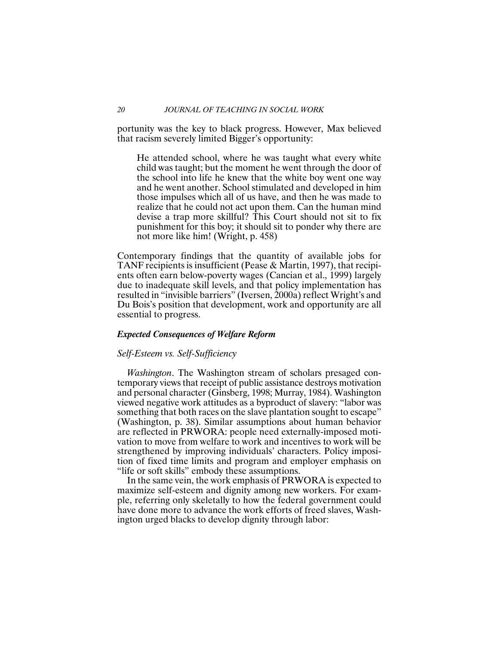portunity was the key to black progress. However, Max believed that racism severely limited Bigger's opportunity:

He attended school, where he was taught what every white child was taught; but the moment he went through the door of the school into life he knew that the white boy went one way and he went another. School stimulated and developed in him those impulses which all of us have, and then he was made to realize that he could not act upon them. Can the human mind devise a trap more skillful? This Court should not sit to fix punishment for this boy; it should sit to ponder why there are not more like him! (Wright, p. 458)

Contemporary findings that the quantity of available jobs for TANF recipients is insufficient (Pease & Martin, 1997), that recipients often earn below-poverty wages (Cancian et al., 1999) largely due to inadequate skill levels, and that policy implementation has resulted in "invisible barriers" (Iversen, 2000a) reflect Wright's and Du Bois's position that development, work and opportunity are all essential to progress.

#### *Expected Consequences of Welfare Reform*

#### *Self-Esteem vs. Self-Sufficiency*

*Washington*. The Washington stream of scholars presaged contemporary views that receipt of public assistance destroys motivation and personal character (Ginsberg, 1998; Murray, 1984). Washington viewed negative work attitudes as a byproduct of slavery: "labor was something that both races on the slave plantation sought to escape" (Washington, p. 38). Similar assumptions about human behavior are reflected in PRWORA: people need externally-imposed motivation to move from welfare to work and incentives to work will be strengthened by improving individuals' characters. Policy imposition of fixed time limits and program and employer emphasis on "life or soft skills" embody these assumptions.

In the same vein, the work emphasis of PRWORA is expected to maximize self-esteem and dignity among new workers. For example, referring only skeletally to how the federal government could have done more to advance the work efforts of freed slaves, Washington urged blacks to develop dignity through labor: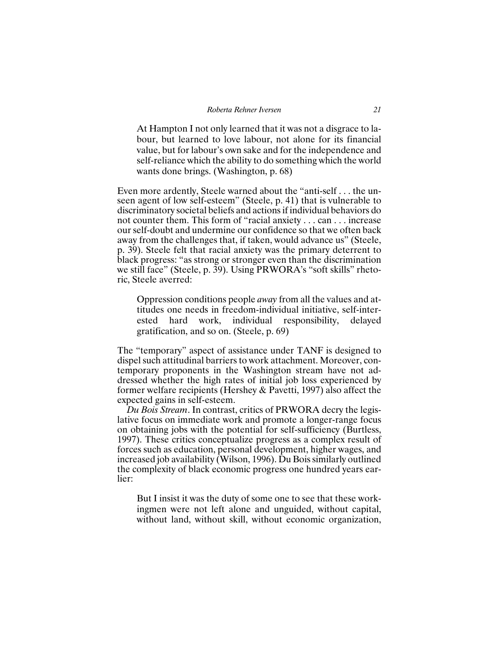At Hampton I not only learned that it was not a disgrace to labour, but learned to love labour, not alone for its financial value, but for labour's own sake and for the independence and self-reliance which the ability to do something which the world wants done brings. (Washington, p. 68)

Even more ardently, Steele warned about the "anti-self . . . the unseen agent of low self-esteem" (Steele, p. 41) that is vulnerable to discriminatory societal beliefs and actions if individual behaviors do not counter them. This form of "racial anxiety . . . can . . . increase our self-doubt and undermine our confidence so that we often back away from the challenges that, if taken, would advance us" (Steele, p. 39). Steele felt that racial anxiety was the primary deterrent to black progress: "as strong or stronger even than the discrimination we still face" (Steele, p. 39). Using PRWORA's "soft skills" rhetoric, Steele averred:

Oppression conditions people *away* from all the values and attitudes one needs in freedom-individual initiative, self-interested hard work, individual responsibility, delayed gratification, and so on. (Steele, p. 69)

The "temporary" aspect of assistance under TANF is designed to dispel such attitudinal barriers to work attachment. Moreover, contemporary proponents in the Washington stream have not addressed whether the high rates of initial job loss experienced by former welfare recipients (Hershey & Pavetti, 1997) also affect the expected gains in self-esteem.

*Du Bois Stream*. In contrast, critics of PRWORA decry the legislative focus on immediate work and promote a longer-range focus on obtaining jobs with the potential for self-sufficiency (Burtless, 1997). These critics conceptualize progress as a complex result of forces such as education, personal development, higher wages, and increased job availability (Wilson, 1996). Du Bois similarly outlined the complexity of black economic progress one hundred years earlier:

But I insist it was the duty of some one to see that these workingmen were not left alone and unguided, without capital, without land, without skill, without economic organization,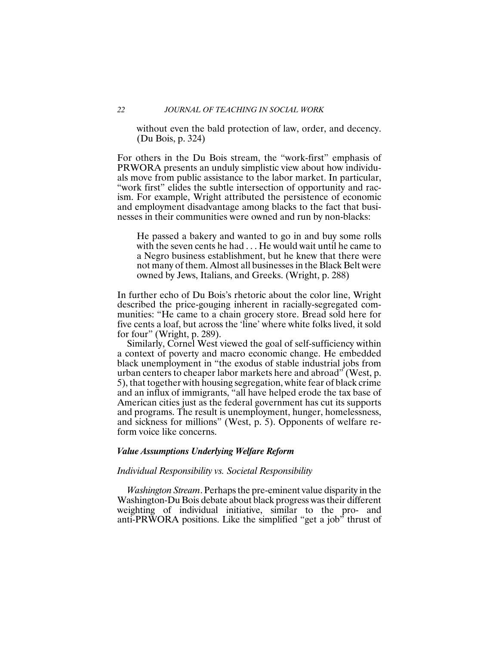without even the bald protection of law, order, and decency. (Du Bois, p. 324)

For others in the Du Bois stream, the "work-first" emphasis of PRWORA presents an unduly simplistic view about how individuals move from public assistance to the labor market. In particular, "work first" elides the subtle intersection of opportunity and racism. For example, Wright attributed the persistence of economic and employment disadvantage among blacks to the fact that businesses in their communities were owned and run by non-blacks:

He passed a bakery and wanted to go in and buy some rolls with the seven cents he had . . . He would wait until he came to a Negro business establishment, but he knew that there were not many of them. Almost all businesses in the Black Belt were owned by Jews, Italians, and Greeks. (Wright, p. 288)

In further echo of Du Bois's rhetoric about the color line, Wright described the price-gouging inherent in racially-segregated communities: "He came to a chain grocery store. Bread sold here for five cents a loaf, but across the 'line' where white folks lived, it sold for four" (Wright, p. 289).

Similarly, Cornel West viewed the goal of self-sufficiency within a context of poverty and macro economic change. He embedded black unemployment in "the exodus of stable industrial jobs from urban centers to cheaper labor markets here and abroad" (West, p. 5), that together with housing segregation, white fear of black crime and an influx of immigrants, "all have helped erode the tax base of American cities just as the federal government has cut its supports and programs. The result is unemployment, hunger, homelessness, and sickness for millions" (West, p. 5). Opponents of welfare reform voice like concerns.

#### *Value Assumptions Underlying Welfare Reform*

#### *Individual Responsibility vs. Societal Responsibility*

*Washington Stream*. Perhaps the pre-eminent value disparity in the Washington-Du Bois debate about black progress was their different weighting of individual initiative, similar to the pro- and anti-PRWORA positions. Like the simplified "get a job" thrust of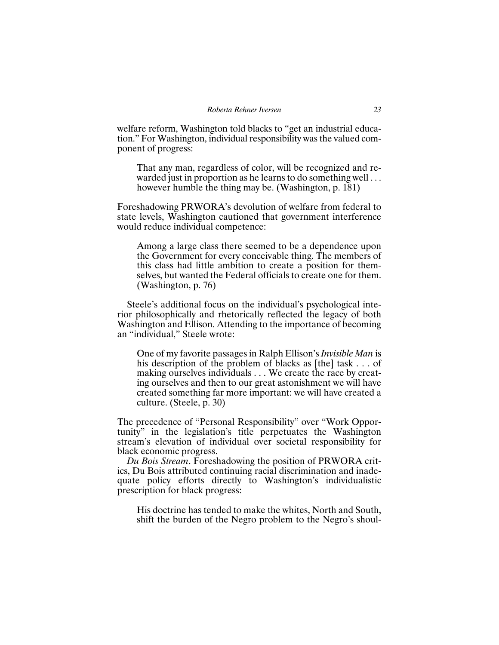welfare reform, Washington told blacks to "get an industrial education." For Washington, individual responsibility was the valued component of progress:

That any man, regardless of color, will be recognized and rewarded just in proportion as he learns to do something well . . . however humble the thing may be. (Washington, p. 181)

Foreshadowing PRWORA's devolution of welfare from federal to state levels, Washington cautioned that government interference would reduce individual competence:

Among a large class there seemed to be a dependence upon the Government for every conceivable thing. The members of this class had little ambition to create a position for themselves, but wanted the Federal officials to create one for them. (Washington, p. 76)

Steele's additional focus on the individual's psychological interior philosophically and rhetorically reflected the legacy of both Washington and Ellison. Attending to the importance of becoming an "individual," Steele wrote:

One of my favorite passages in Ralph Ellison's *Invisible Man* is his description of the problem of blacks as [the] task . . . of making ourselves individuals . . . We create the race by creating ourselves and then to our great astonishment we will have created something far more important: we will have created a culture. (Steele, p. 30)

The precedence of "Personal Responsibility" over "Work Opportunity" in the legislation's title perpetuates the Washington stream's elevation of individual over societal responsibility for black economic progress.

*Du Bois Stream*. Foreshadowing the position of PRWORA critics, Du Bois attributed continuing racial discrimination and inadequate policy efforts directly to Washington's individualistic prescription for black progress:

His doctrine has tended to make the whites, North and South, shift the burden of the Negro problem to the Negro's shoul-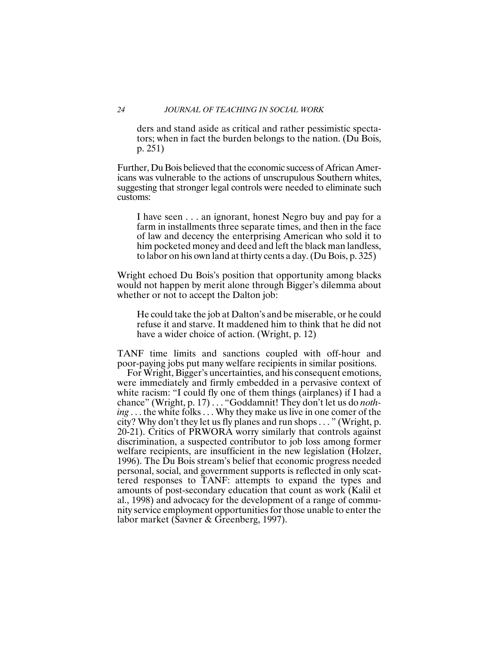#### *24 JOURNAL OF TEACHING IN SOCIAL WORK*

ders and stand aside as critical and rather pessimistic spectators; when in fact the burden belongs to the nation. (Du Bois, p. 251)

Further, Du Bois believed that the economic success of African Americans was vulnerable to the actions of unscrupulous Southern whites, suggesting that stronger legal controls were needed to eliminate such customs:

I have seen . . . an ignorant, honest Negro buy and pay for a farm in installments three separate times, and then in the face of law and decency the enterprising American who sold it to him pocketed money and deed and left the black man landless, to labor on his own land at thirty cents a day. (Du Bois, p. 325)

Wright echoed Du Bois's position that opportunity among blacks would not happen by merit alone through Bigger's dilemma about whether or not to accept the Dalton job:

He could take the job at Dalton's and be miserable, or he could refuse it and starve. It maddened him to think that he did not have a wider choice of action. (Wright, p. 12)

TANF time limits and sanctions coupled with off-hour and poor-paying jobs put many welfare recipients in similar positions.

For Wright, Bigger's uncertainties, and his consequent emotions, were immediately and firmly embedded in a pervasive context of white racism: "I could fly one of them things (airplanes) if I had a chance" (Wright, p. 17) . . . "Goddamnit! They don't let us do *nothing* . . . the white folks . . . Why they make us live in one comer of the city? Why don't they let us fly planes and run shops . . . " (Wright, p. 20-21). Critics of PRWORA worry similarly that controls against discrimination, a suspected contributor to job loss among former welfare recipients, are insufficient in the new legislation (Holzer, 1996). The Du Bois stream's belief that economic progress needed personal, social, and government supports is reflected in only scattered responses to TANF: attempts to expand the types and amounts of post-secondary education that count as work (Kalil et al., 1998) and advocacy for the development of a range of community service employment opportunities for those unable to enter the labor market (Savner & Greenberg, 1997).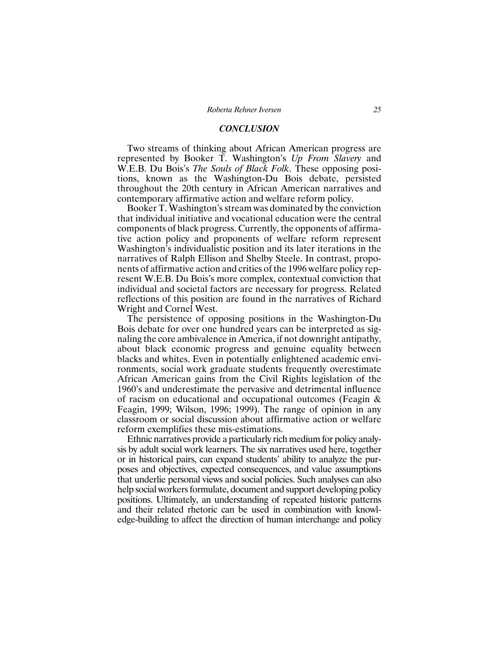#### *CONCLUSION*

Two streams of thinking about African American progress are represented by Booker T. Washington's *Up From Slavery* and W.E.B. Du Bois's *The Souls of Black Folk*. These opposing positions, known as the Washington-Du Bois debate, persisted throughout the 20th century in African American narratives and contemporary affirmative action and welfare reform policy.

Booker T. Washington's stream was dominated by the conviction that individual initiative and vocational education were the central components of black progress. Currently, the opponents of affirmative action policy and proponents of welfare reform represent Washington's individualistic position and its later iterations in the narratives of Ralph Ellison and Shelby Steele. In contrast, proponents of affirmative action and critics of the 1996 welfare policy represent W.E.B. Du Bois's more complex, contextual conviction that individual and societal factors are necessary for progress. Related reflections of this position are found in the narratives of Richard Wright and Cornel West.

The persistence of opposing positions in the Washington-Du Bois debate for over one hundred years can be interpreted as signaling the core ambivalence in America, if not downright antipathy, about black economic progress and genuine equality between blacks and whites. Even in potentially enlightened academic environments, social work graduate students frequently overestimate African American gains from the Civil Rights legislation of the 1960's and underestimate the pervasive and detrimental influence of racism on educational and occupational outcomes (Feagin & Feagin, 1999; Wilson, 1996; 1999). The range of opinion in any classroom or social discussion about affirmative action or welfare reform exemplifies these mis-estimations.

Ethnic narratives provide a particularly rich medium for policy analysis by adult social work learners. The six narratives used here, together or in historical pairs, can expand students' ability to analyze the purposes and objectives, expected consequences, and value assumptions that underlie personal views and social policies. Such analyses can also help social workers formulate, document and support developing policy positions. Ultimately, an understanding of repeated historic patterns and their related rhetoric can be used in combination with knowledge-building to affect the direction of human interchange and policy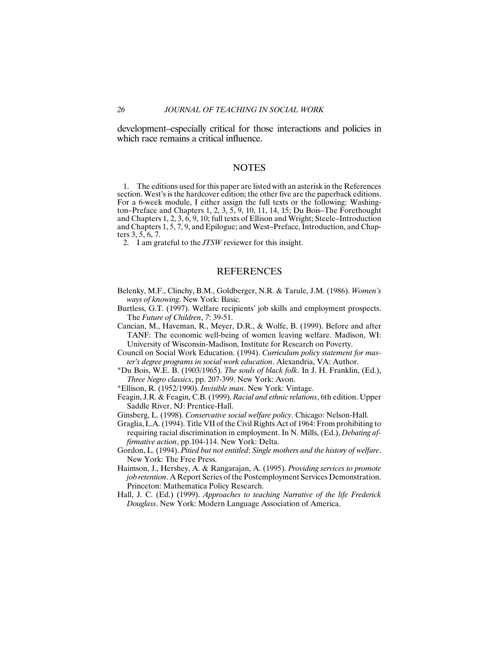development–especially critical for those interactions and policies in which race remains a critical influence.

#### **NOTES**

1. The editions used for this paper are listed with an asterisk in the References section. West's is the hardcover edition; the other five are the paperback editions. For a 6-week module, I either assign the full texts or the following: Washington–Preface and Chapters 1, 2, 3, 5, 9, 10, 11, 14, 15; Du Bois–The Forethought and Chapters 1, 2, 3, 6, 9, 10; full texts of Ellison and Wright; Steele–Introduction and Chapters 1, 5, 7, 9, and Epilogue; and West–Preface, Introduction, and Chapters 3, 5, 6, 7.

2. I am grateful to the *JTSW* reviewer for this insight.

#### REFERENCES

- Belenky, M.F., Clinchy, B.M., Goldberger, N.R. & Tarule, J.M. (1986). *Women's ways of knowing*. New York: Basic.
- Burtless, G.T. (1997). Welfare recipients' job skills and employment prospects. The *Future of Children*, *7*: 39-51.
- Cancian, M., Haveman, R., Meyer, D.R., & Wolfe, B. (1999). Before and after TANF: The economic well-being of women leaving welfare. Madison, WI: University of Wisconsin-Madison, Institute for Research on Poverty.
- Council on Social Work Education. (1994). *Curriculum policy statement for master's degree programs in social work education*. Alexandria, VA: Author.
- \*Du Bois, W.E. B. (1903/1965). *The souls of black folk*. In J. H. Franklin, (Ed.), *Three Negro classics*, pp. 207-399. New York: Avon.
- \*Ellison, R. (1952/1990). *Invisible man*. New York: Vintage.
- Feagin, J.R. & Feagin, C.B. (1999). *Racial and ethnic relations*, 6th edition. Upper Saddle River, NJ: Prentice-Hall.
- Ginsberg, L. (1998). *Conservative social welfare policy*. Chicago: Nelson-Hall.
- Graglia, L.A. (1994). Title VII of the Civil Rights Act of 1964: From prohibiting to requiring racial discrimination in employment. In N. Mills, (Ed.), *Debating affirmative action*, pp.104-114. New York: Delta.
- Gordon, L. (1994). *Pitied but not entitled*: *Single mothers and the history of welfare*. New York: The Free Press.
- Haimson, J., Hershey, A. & Rangarajan, A. (1995). *Providing services to promote job retention*. A Report Series of the Postemployment Services Demonstration. Princeton: Mathematica Policy Research.
- Hall, J. C. (Ed.) (1999). *Approaches to teaching Narrative of the life Frederick Douglass*. New York: Modern Language Association of America.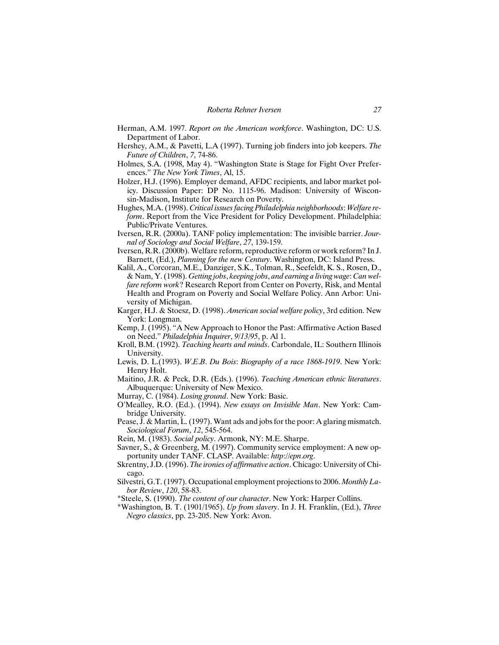- Herman, A.M. 1997. *Report on the American workforce*. Washington, DC: U.S. Department of Labor.
- Hershey, A.M., & Pavetti, L.A (1997). Turning job finders into job keepers. *The Future of Children*, *7*, 74-86.
- Holmes, S.A. (1998, May 4). "Washington State is Stage for Fight Over Preferences." *The New York Times*, Al, 15.
- Holzer, H.J. (1996). Employer demand, AFDC recipients, and labor market policy. Discussion Paper: DP No. 1115-96. Madison: University of Wisconsin-Madison, Institute for Research on Poverty.
- Hughes, M.A. (1998). *Critical issues facing Philadelphia neighborhoods*: *Welfare reform*. Report from the Vice President for Policy Development. Philadelphia: Public/Private Ventures.
- Iversen, R.R. (2000a). TANF policy implementation: The invisible barrier. *Journal of Sociology and Social Welfare*, *27*, 139-159.
- Iversen, R.R. (2000b). Welfare reform, reproductive reform or work reform? In J. Barnett, (Ed.), *Planning for the new Century*. Washington, DC: Island Press.
- Kalil, A., Corcoran, M.E., Danziger, S.K., Tolman, R., Seefeldt, K. S., Rosen, D., & Nam, Y. (1998). *Getting jobs*, *keeping jobs*, *and earning a living wage*: *Can welfare reform work*? Research Report from Center on Poverty, Risk, and Mental Health and Program on Poverty and Social Welfare Policy. Ann Arbor: University of Michigan.
- Karger, H.J. & Stoesz, D. (1998). *American social welfare policy*, 3rd edition. New York: Longman.
- Kemp, J. (1995). "A New Approach to Honor the Past: Affirmative Action Based on Need." *Philadelphia Inquirer*, *9/13/95*, p. Al 1.
- Kroll, B.M. (1992). *Teaching hearts and minds*. Carbondale, IL: Southern Illinois University.
- Lewis, D. L.(1993). *W*.*E*.*B*. *Du Bois*: *Biography of a race 1868-1919*. New York: Henry Holt.
- Maitino, J.R. & Peck, D.R. (Eds.). (1996). *Teaching American ethnic literatures*. Albuquerque: University of New Mexico.
- Murray, C. (1984). *Losing ground*. New York: Basic.
- O'Mealley, R.O. (Ed.). (1994). *New essays on Invisible Man*. New York: Cambridge University.
- Pease, J. & Martin, L. (1997). Want ads and jobs for the poor: A glaring mismatch. *Sociological Forum*, *12*, 545-564.
- Rein, M. (1983). *Social policy*. Armonk, NY: M.E. Sharpe.
- Savner, S., & Greenberg, M. (1997). Community service employment: A new opportunity under TANF. CLASP. Available: *http*:*//epn*.*org*.
- Skrentny, J.D. (1996). *The ironies of affirmative action*. Chicago: University of Chicago.
- Silvestri, G.T. (1997). Occupational employment projections to 2006. *Monthly Labor Review*, *120*, 58-83.
- \*Steele, S. (1990). *The content of our character*. New York: Harper Collins.
- \*Washington, B. T. (1901/1965). *Up from slavery*. In J. H. Franklin, (Ed.), *Three Negro classics*, pp. 23-205. New York: Avon.